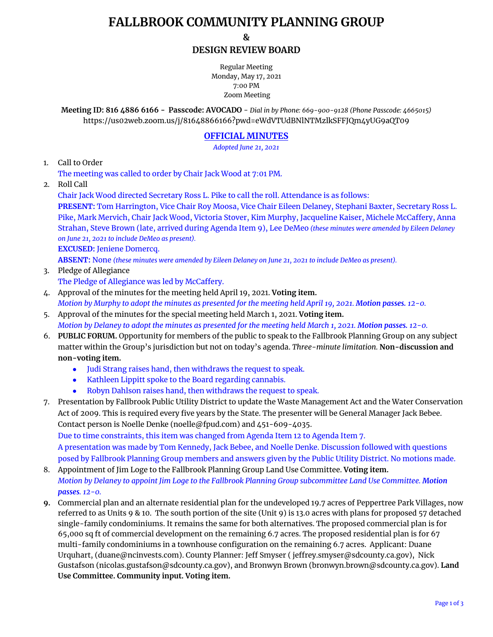## **FALLBROOK COMMUNITY PLANNING GROUP**

**&**

## **DESIGN REVIEW BOARD**

Regular Meeting Monday, May 17, 2021 7:00 PM Zoom Meeting

**Meeting ID: 816 4886 6166 - Passcode: AVOCADO** - *Dial in by Phone: 669-900-9128 (Phone Passcode: 4665015)* <https://us02web.zoom.us/j/81648866166?pwd=eWdVTUdBNlNTMzlkSFFJQm4yUG9aQT09>

## **OFFICIAL MINUTES**

*Adopted June 21, 2021*

1. Call to Order

The meeting was called to order by Chair Jack Wood at 7:01 PM.

2. Roll Call

Chair Jack Wood directed Secretary Ross L. Pike to call the roll. Attendance is as follows:

**PRESENT:** Tom Harrington, Vice Chair Roy Moosa, Vice Chair Eileen Delaney, Stephani Baxter, Secretary Ross L. Pike, Mark Mervich, Chair Jack Wood, Victoria Stover, Kim Murphy, Jacqueline Kaiser, Michele McCaffery, Anna Strahan, Steve Brown (late, arrived during Agenda Item 9), Lee DeMeo *(these minutes were amended by Eileen Delaney on June 21, 2021 to include DeMeo as present).*

**EXCUSED:** Jeniene Domercq.

**ABSENT:** None *(these minutes were amended by Eileen Delaney on June 21, 2021 to include DeMeo as present).*

- 3. Pledge of Allegiance The Pledge of Allegiance was led by McCaffery.
- 4. Approval of the minutes for the meeting held April 19, 2021. **Voting item.** Motion by Murphy to adopt the minutes as presented for the meeting held April 19, 2021. Motion passes, 12-0.
- 5. Approval of the minutes for the special meeting held March 1, 2021. **Voting item.** Motion by Delaney to adopt the minutes as presented for the meeting held March 1, 2021. Motion passes. 12-0.
- 6. **PUBLIC FORUM.** Opportunity for members of the public to speak to the Fallbrook Planning Group on any subject matter within the Group's jurisdiction but not on today's agenda. *Three-minute limitation.* **Non-discussion and non-voting item.**
	- Judi Strang raises hand, then withdraws the request to speak.
	- Kathleen Lippitt spoke to the Board regarding cannabis.
	- Robyn Dahlson raises hand, then withdraws the request to speak.
- 7. Presentation by Fallbrook Public Utility District to update the Waste Management Act and the Water Conservation Act of 2009. This is required every five years by the State. The presenter will be General Manager Jack Bebee. Contact person is Noelle Denke [\(noelle@fpud.com](mailto:noelle@fpud.com)) and 451-609-4035.

Due to time constraints, this item was changed from Agenda Item 12 to Agenda Item 7. A presentation was made by Tom Kennedy, Jack Bebee, and Noelle Denke. Discussion followed with questions posed by Fallbrook Planning Group members and answers given by the Public Utility District. No motions made.

- 8. Appointment of Jim Loge to the Fallbrook Planning Group Land Use Committee. **Voting item.** Motion by Delaney to appoint Jim Loge to the Fallbrook Planning Group subcommittee Land Use Committee. Motion *passes. 12-0.*
- **9.** Commercial plan and an alternate residential plan for the undeveloped 19.7 acres of Peppertree Park Villages, now referred to as Units 9 & 10. The south portion of the site (Unit 9) is 13.0 acres with plans for proposed 57 detached single-family condominiums. It remains the same for both alternatives. The proposed commercial plan is for 65,000 sq ft of commercial development on the remaining 6.7 acres. The proposed residential plan is for 67 multi-family condominiums in a townhouse configuration on the remaining 6.7 acres. Applicant: Duane Urquhart, (duane@ncinvests.com). County Planner: Jeff Smyser ( [jeffrey.smyser@sdcounty.ca.gov](mailto:Jeffrey.smyser@sdcounty.ca.gov)), Nick Gustafson ([nicolas.gustafson@sdcounty.ca.gov](mailto:Nicolas.Gustafson@sdcounty.ca.gov)), and Bronwyn Brown (bronwyn.brown@sdcounty.ca.gov). **Land Use Committee. Community input. Voting item.**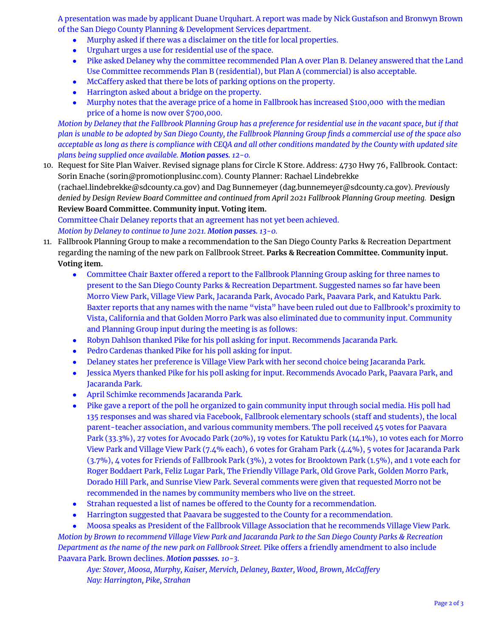A presentation was made by applicant Duane Urquhart. A report was made by Nick Gustafson and Bronwyn Brown of the San Diego County Planning & Development Services department.

- Murphy asked if there was a disclaimer on the title for local properties.
- Urguhart urges a use for residential use of the space.
- Pike asked Delaney why the committee recommended Plan A over Plan B. Delaney answered that the Land Use Committee recommends Plan B (residential), but Plan A (commercial) is also acceptable.
- McCaffery asked that there be lots of parking options on the property.
- Harrington asked about a bridge on the property.
- Murphy notes that the average price of a home in Fallbrook has increased \$100,000 with the median price of a home is now over \$700,000.

Motion by Delaney that the Fallbrook Planning Group has a preference for residential use in the vacant space, but if that plan is unable to be adopted by San Diego County, the Fallbrook Planning Group finds a commercial use of the space also acceptable as long as there is compliance with CEQA and all other conditions mandated by the County with updated site *plans being supplied once available. Motion passes. 12-0.*

10. Request for Site Plan Waiver. Revised signage plans for Circle K Store. Address: 4730 Hwy 76, Fallbrook. Contact: Sorin Enache (sorin@promotionplusinc.com). County Planner: Rachael Lindebrekke ([rachael.lindebrekke@sdcounty.ca.gov](mailto:rachael.lindebrekke@sdcounty.ca.gov)) and Dag Bunnemeyer (dag.bunnemeyer@sdcounty.ca.gov). *Previously denied by Design Review Board Committee and continued from April 2021 Fallbrook Planning Group meeting.* **Design Review Board Committee. Community input. Voting item.**

Committee Chair Delaney reports that an agreement has not yet been achieved.

## *Motion by Delaney to continue to June 2021. Motion passes. 13-0.*

- 11. Fallbrook Planning Group to make a recommendation to the San Diego County Parks & Recreation Department regarding the naming of the new park on Fallbrook Street. **Parks & Recreation Committee. Community input. Voting item.**
	- Committee Chair Baxter offered a report to the Fallbrook Planning Group asking for three names to present to the San Diego County Parks & Recreation Department. Suggested names so far have been Morro View Park, Village View Park, Jacaranda Park, Avocado Park, Paavara Park, and Katuktu Park. Baxter reports that any names with the name "vista" have been ruled out due to Fallbrook's proximity to Vista, California and that Golden Morro Park was also eliminated due to community input. Community and Planning Group input during the meeting is as follows:
	- Robyn Dahlson thanked Pike for his poll asking for input. Recommends Jacaranda Park.
	- Pedro Cardenas thanked Pike for his poll asking for input.
	- Delaney states her preference is Village View Park with her second choice being Jacaranda Park.
	- Jessica Myers thanked Pike for his poll asking for input. Recommends Avocado Park, Paavara Park, and Jacaranda Park.
	- April Schimke recommends Jacaranda Park.
	- Pike gave a report of the poll he organized to gain community input through social media. His poll had 135 responses and was shared via Facebook, Fallbrook elementary schools (staff and students), the local parent-teacher association, and various community members. The poll received 45 votes for Paavara Park (33.3%), 27 votes for Avocado Park (20%), 19 votes for Katuktu Park (14.1%), 10 votes each for Morro View Park and Village View Park (7.4% each), 6 votes for Graham Park (4.4%), 5 votes for Jacaranda Park (3.7%), 4 votes for Friends of Fallbrook Park (3%), 2 votes for Brooktown Park (1.5%), and 1 vote each for Roger Boddaert Park, Feliz Lugar Park, The Friendly Village Park, Old Grove Park, Golden Morro Park, Dorado Hill Park, and Sunrise View Park. Several comments were given that requested Morro not be recommended in the names by community members who live on the street.
	- Strahan requested a list of names be offered to the County for a recommendation.
	- Harrington suggested that Paavara be suggested to the County for a recommendation.
	- Moosa speaks as President of the Fallbrook Village Association that he recommends Village View Park.

Motion by Brown to recommend Village View Park and Jacaranda Park to the San Diego County Parks & Recreation *Department as the name of the new park on Fallbrook Street.* Pike offers a friendly amendment to also include Paavara Park. Brown declines. *Motion passses. 10-3.*

*Aye: Stover, Moosa, Murphy, Kaiser, Mervich, Delaney, Baxter, Wood, Brown, McCaffery Nay: Harrington, Pike, Strahan*